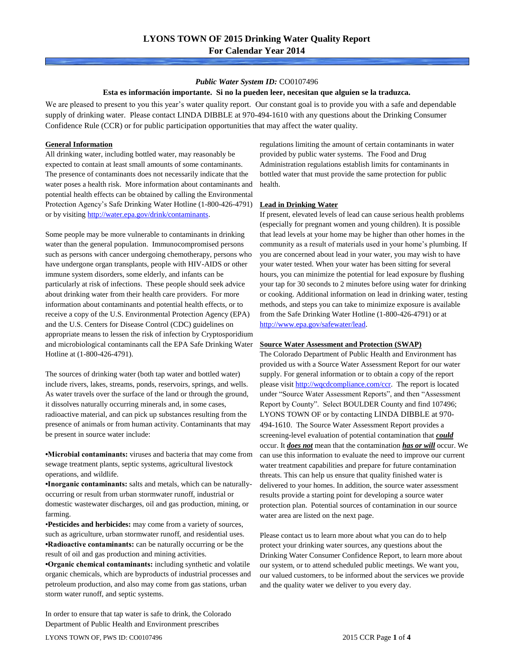### *Public Water System ID:* CO0107496

### **Esta es información importante. Si no la pueden leer, necesitan que alguien se la traduzca.**

We are pleased to present to you this year's water quality report. Our constant goal is to provide you with a safe and dependable supply of drinking water. Please contact LINDA DIBBLE at 970-494-1610 with any questions about the Drinking Consumer Confidence Rule (CCR) or for public participation opportunities that may affect the water quality.

### **General Information**

All drinking water, including bottled water, may reasonably be expected to contain at least small amounts of some contaminants. The presence of contaminants does not necessarily indicate that the water poses a health risk. More information about contaminants and potential health effects can be obtained by calling the Environmental Protection Agency's Safe Drinking Water Hotline (1-800-426-4791) or by visiting [http://water.epa.gov/drink/contaminants.](http://water.epa.gov/drink/contaminants)

Some people may be more vulnerable to contaminants in drinking water than the general population. Immunocompromised persons such as persons with cancer undergoing chemotherapy, persons who have undergone organ transplants, people with HIV-AIDS or other immune system disorders, some elderly, and infants can be particularly at risk of infections. These people should seek advice about drinking water from their health care providers. For more information about contaminants and potential health effects, or to receive a copy of the U.S. Environmental Protection Agency (EPA) and the U.S. Centers for Disease Control (CDC) guidelines on appropriate means to lessen the risk of infection by Cryptosporidium and microbiological contaminants call the EPA Safe Drinking Water Hotline at (1-800-426-4791).

The sources of drinking water (both tap water and bottled water) include rivers, lakes, streams, ponds, reservoirs, springs, and wells. As water travels over the surface of the land or through the ground, it dissolves naturally occurring minerals and, in some cases, radioactive material, and can pick up substances resulting from the presence of animals or from human activity. Contaminants that may be present in source water include:

**•Microbial contaminants:** viruses and bacteria that may come from sewage treatment plants, septic systems, agricultural livestock operations, and wildlife.

**•Inorganic contaminants:** salts and metals, which can be naturallyoccurring or result from urban stormwater runoff, industrial or domestic wastewater discharges, oil and gas production, mining, or farming.

•**Pesticides and herbicides:** may come from a variety of sources, such as agriculture, urban stormwater runoff, and residential uses. **•Radioactive contaminants:** can be naturally occurring or be the result of oil and gas production and mining activities.

**•Organic chemical contaminants:** including synthetic and volatile organic chemicals, which are byproducts of industrial processes and petroleum production, and also may come from gas stations, urban storm water runoff, and septic systems.

In order to ensure that tap water is safe to drink, the Colorado Department of Public Health and Environment prescribes

regulations limiting the amount of certain contaminants in water provided by public water systems. The Food and Drug Administration regulations establish limits for contaminants in bottled water that must provide the same protection for public health.

### **Lead in Drinking Water**

If present, elevated levels of lead can cause serious health problems (especially for pregnant women and young children). It is possible that lead levels at your home may be higher than other homes in the community as a result of materials used in your home's plumbing. If you are concerned about lead in your water, you may wish to have your water tested. When your water has been sitting for several hours, you can minimize the potential for lead exposure by flushing your tap for 30 seconds to 2 minutes before using water for drinking or cooking. Additional information on lead in drinking water, testing methods, and steps you can take to minimize exposure is available from the Safe Drinking Water Hotline (1-800-426-4791) or at [http://www.epa.gov/safewater/lead.](http://www.epa.gov/safewater/lead) 

### **Source Water Assessment and Protection (SWAP)**

The Colorado Department of Public Health and Environment has provided us with a Source Water Assessment Report for our water supply. For general information or to obtain a copy of the report please visit [http://wqcdcompliance.com/ccr.](http://wqcdcompliance.com/ccr) The report is located under "Source Water Assessment Reports", and then "Assessment Report by County". Select BOULDER County and find 107496; LYONS TOWN OF or by contacting LINDA DIBBLE at 970- 494-1610. The Source Water Assessment Report provides a screening-level evaluation of potential contamination that *could* occur. It *does not* mean that the contamination *has or will* occur. We can use this information to evaluate the need to improve our current water treatment capabilities and prepare for future contamination threats. This can help us ensure that quality finished water is delivered to your homes. In addition, the source water assessment results provide a starting point for developing a source water protection plan. Potential sources of contamination in our source water area are listed on the next page.

Please contact us to learn more about what you can do to help protect your drinking water sources, any questions about the Drinking Water Consumer Confidence Report, to learn more about our system, or to attend scheduled public meetings. We want you, our valued customers, to be informed about the services we provide and the quality water we deliver to you every day.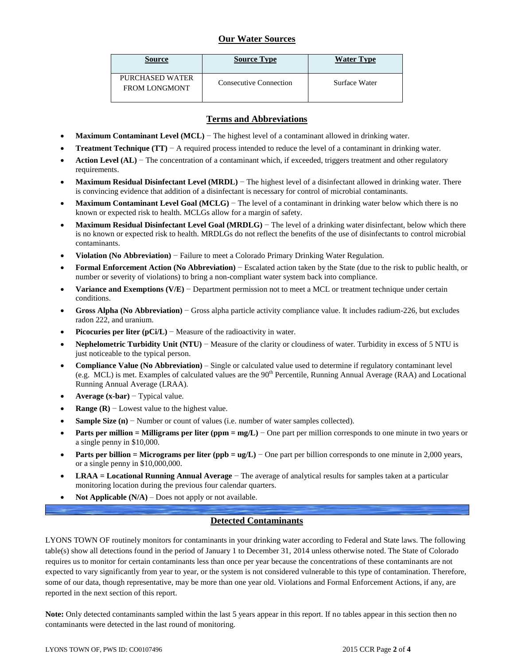# **Our Water Sources**

| <b>Source</b>                           | <b>Source Type</b>     | <b>Water Type</b> |
|-----------------------------------------|------------------------|-------------------|
| PURCHASED WATER<br><b>FROM LONGMONT</b> | Consecutive Connection | Surface Water     |

## **Terms and Abbreviations**

- **Maximum Contaminant Level (MCL)** − The highest level of a contaminant allowed in drinking water.
- **Treatment Technique (TT)** − A required process intended to reduce the level of a contaminant in drinking water.
- **Action Level (AL)** − The concentration of a contaminant which, if exceeded, triggers treatment and other regulatory requirements.
- **Maximum Residual Disinfectant Level (MRDL)** − The highest level of a disinfectant allowed in drinking water. There is convincing evidence that addition of a disinfectant is necessary for control of microbial contaminants.
- **Maximum Contaminant Level Goal (MCLG)** − The level of a contaminant in drinking water below which there is no known or expected risk to health. MCLGs allow for a margin of safety.
- **Maximum Residual Disinfectant Level Goal (MRDLG)** − The level of a drinking water disinfectant, below which there is no known or expected risk to health. MRDLGs do not reflect the benefits of the use of disinfectants to control microbial contaminants.
- **Violation (No Abbreviation)** − Failure to meet a Colorado Primary Drinking Water Regulation.
- **Formal Enforcement Action (No Abbreviation)** − Escalated action taken by the State (due to the risk to public health, or number or severity of violations) to bring a non-compliant water system back into compliance.
- **Variance and Exemptions (V/E)** − Department permission not to meet a MCL or treatment technique under certain conditions.
- **Gross Alpha (No Abbreviation)** − Gross alpha particle activity compliance value. It includes radium-226, but excludes radon 222, and uranium.
- **Picocuries per liter (pCi/L)** Measure of the radioactivity in water.
- **Nephelometric Turbidity Unit (NTU)** − Measure of the clarity or cloudiness of water. Turbidity in excess of 5 NTU is just noticeable to the typical person.
- **Compliance Value (No Abbreviation)** Single or calculated value used to determine if regulatory contaminant level (e.g. MCL) is met. Examples of calculated values are the  $90<sup>th</sup>$  Percentile, Running Annual Average (RAA) and Locational Running Annual Average (LRAA).
- **Average (x-bar)** − Typical value.
- **Range (R)**  $-$  Lowest value to the highest value.
- **Sample Size (n)** − Number or count of values (i.e. number of water samples collected).
- **Parts per million = Milligrams per liter (ppm = mg/L)** − One part per million corresponds to one minute in two years or a single penny in \$10,000.
- **Parts per billion = Micrograms per liter (ppb = ug/L)** − One part per billion corresponds to one minute in 2,000 years, or a single penny in \$10,000,000.
- **LRAA = Locational Running Annual Average** − The average of analytical results for samples taken at a particular monitoring location during the previous four calendar quarters.
- **Not Applicable (N/A)** Does not apply or not available.

# **Detected Contaminants**

LYONS TOWN OF routinely monitors for contaminants in your drinking water according to Federal and State laws. The following table(s) show all detections found in the period of January 1 to December 31, 2014 unless otherwise noted. The State of Colorado requires us to monitor for certain contaminants less than once per year because the concentrations of these contaminants are not expected to vary significantly from year to year, or the system is not considered vulnerable to this type of contamination. Therefore, some of our data, though representative, may be more than one year old. Violations and Formal Enforcement Actions, if any, are reported in the next section of this report.

**Note:** Only detected contaminants sampled within the last 5 years appear in this report. If no tables appear in this section then no contaminants were detected in the last round of monitoring.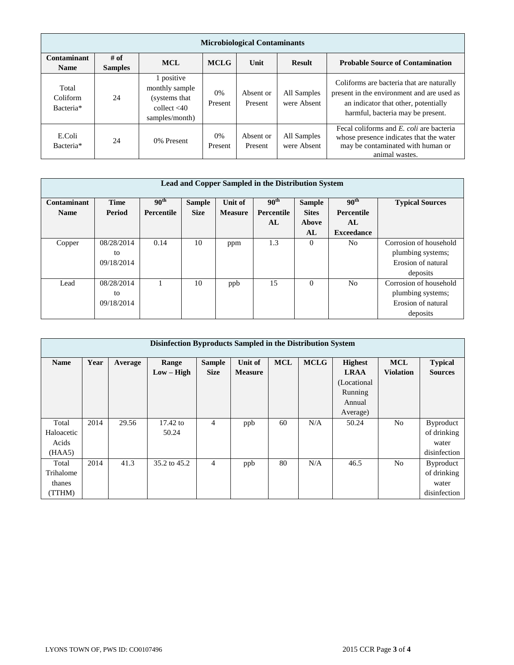|                                | <b>Microbiological Contaminants</b> |                                                                                    |               |                      |                            |                                                                                                                                                                      |  |  |  |  |  |
|--------------------------------|-------------------------------------|------------------------------------------------------------------------------------|---------------|----------------------|----------------------------|----------------------------------------------------------------------------------------------------------------------------------------------------------------------|--|--|--|--|--|
| Contaminant<br><b>Name</b>     | # of<br><b>Samples</b>              | <b>MCL</b>                                                                         | <b>MCLG</b>   | Unit                 | <b>Result</b>              | <b>Probable Source of Contamination</b>                                                                                                                              |  |  |  |  |  |
| Total<br>Coliform<br>Bacteria* | 24                                  | 1 positive<br>monthly sample<br>(systems that)<br>collect $<$ 40<br>samples/month) | 0%<br>Present | Absent or<br>Present | All Samples<br>were Absent | Coliforms are bacteria that are naturally<br>present in the environment and are used as<br>an indicator that other, potentially<br>harmful, bacteria may be present. |  |  |  |  |  |
| E.Coli<br>Bacteria*            | 24                                  | 0% Present                                                                         | 0%<br>Present | Absent or<br>Present | All Samples<br>were Absent | Fecal coliforms and <i>E. coli</i> are bacteria<br>whose presence indicates that the water<br>may be contaminated with human or<br>animal wastes.                    |  |  |  |  |  |

| Lead and Copper Sampled in the Distribution System |             |                   |               |                |                   |               |                   |                        |  |  |
|----------------------------------------------------|-------------|-------------------|---------------|----------------|-------------------|---------------|-------------------|------------------------|--|--|
| Contaminant                                        | <b>Time</b> | 90 <sup>th</sup>  | <b>Sample</b> | Unit of        | 90 <sup>th</sup>  | <b>Sample</b> | 90 <sup>th</sup>  | <b>Typical Sources</b> |  |  |
| <b>Name</b>                                        | Period      | <b>Percentile</b> | <b>Size</b>   | <b>Measure</b> | <b>Percentile</b> | <b>Sites</b>  | Percentile        |                        |  |  |
|                                                    |             |                   |               |                | AL                | Above         | AL                |                        |  |  |
|                                                    |             |                   |               |                |                   | AL            | <b>Exceedance</b> |                        |  |  |
| Copper                                             | 08/28/2014  | 0.14              | 10            | ppm            | 1.3               | $\Omega$      | No                | Corrosion of household |  |  |
|                                                    | to          |                   |               |                |                   |               |                   | plumbing systems;      |  |  |
|                                                    | 09/18/2014  |                   |               |                |                   |               |                   | Erosion of natural     |  |  |
|                                                    |             |                   |               |                |                   |               |                   | deposits               |  |  |
| Lead                                               | 08/28/2014  |                   | 10            | ppb            | 15                | $\theta$      | No                | Corrosion of household |  |  |
|                                                    | to          |                   |               |                |                   |               |                   | plumbing systems;      |  |  |
|                                                    | 09/18/2014  |                   |               |                |                   |               |                   | Erosion of natural     |  |  |
|                                                    |             |                   |               |                |                   |               |                   | deposits               |  |  |

|             | Disinfection Byproducts Sampled in the Distribution System |         |              |                |                |            |             |                |                  |                  |  |  |
|-------------|------------------------------------------------------------|---------|--------------|----------------|----------------|------------|-------------|----------------|------------------|------------------|--|--|
| <b>Name</b> | Year                                                       | Average | Range        | <b>Sample</b>  | Unit of        | <b>MCL</b> | <b>MCLG</b> | <b>Highest</b> | <b>MCL</b>       | <b>Typical</b>   |  |  |
|             |                                                            |         | $Low - High$ | <b>Size</b>    | <b>Measure</b> |            |             | <b>LRAA</b>    | <b>Violation</b> | <b>Sources</b>   |  |  |
|             |                                                            |         |              |                |                |            |             | (Locational)   |                  |                  |  |  |
|             |                                                            |         |              |                |                |            |             | Running        |                  |                  |  |  |
|             |                                                            |         |              |                |                |            |             | Annual         |                  |                  |  |  |
|             |                                                            |         |              |                |                |            |             | Average)       |                  |                  |  |  |
| Total       | 2014                                                       | 29.56   | $17.42$ to   | 4              | ppb            | 60         | N/A         | 50.24          | N <sub>0</sub>   | <b>Byproduct</b> |  |  |
| Haloacetic  |                                                            |         | 50.24        |                |                |            |             |                |                  | of drinking      |  |  |
| Acids       |                                                            |         |              |                |                |            |             |                |                  | water            |  |  |
| (HAA5)      |                                                            |         |              |                |                |            |             |                |                  | disinfection     |  |  |
| Total       | 2014                                                       | 41.3    | 35.2 to 45.2 | $\overline{4}$ | ppb            | 80         | N/A         | 46.5           | N <sub>0</sub>   | <b>Byproduct</b> |  |  |
| Trihalome   |                                                            |         |              |                |                |            |             |                |                  | of drinking      |  |  |
| thanes      |                                                            |         |              |                |                |            |             |                |                  | water            |  |  |
| (TTHM)      |                                                            |         |              |                |                |            |             |                |                  | disinfection     |  |  |